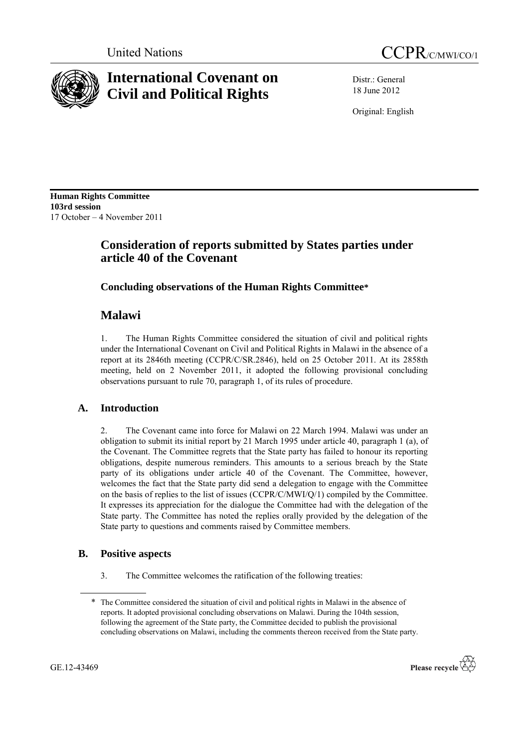



# **International Covenant on Civil and Political Rights**

Distr.: General 18 June 2012

Original: English

**Human Rights Committee 103rd session** 17 October – 4 November 2011

# **Consideration of reports submitted by States parties under article 40 of the Covenant**

## **Concluding observations of the Human Rights Committee\***

# **Malawi**

1. The Human Rights Committee considered the situation of civil and political rights under the International Covenant on Civil and Political Rights in Malawi in the absence of a report at its 2846th meeting (CCPR/C/SR.2846), held on 25 October 2011. At its 2858th meeting, held on 2 November 2011, it adopted the following provisional concluding observations pursuant to rule 70, paragraph 1, of its rules of procedure.

## **A. Introduction**

2. The Covenant came into force for Malawi on 22 March 1994. Malawi was under an obligation to submit its initial report by 21 March 1995 under article 40, paragraph 1 (a), of the Covenant. The Committee regrets that the State party has failed to honour its reporting obligations, despite numerous reminders. This amounts to a serious breach by the State party of its obligations under article 40 of the Covenant. The Committee, however, welcomes the fact that the State party did send a delegation to engage with the Committee on the basis of replies to the list of issues (CCPR/C/MWI/Q/1) compiled by the Committee. It expresses its appreciation for the dialogue the Committee had with the delegation of the State party. The Committee has noted the replies orally provided by the delegation of the State party to questions and comments raised by Committee members.

## **B. Positive aspects**

3. The Committee welcomes the ratification of the following treaties:

<sup>\*</sup> The Committee considered the situation of civil and political rights in Malawi in the absence of reports. It adopted provisional concluding observations on Malawi. During the 104th session, following the agreement of the State party, the Committee decided to publish the provisional concluding observations on Malawi, including the comments thereon received from the State party.

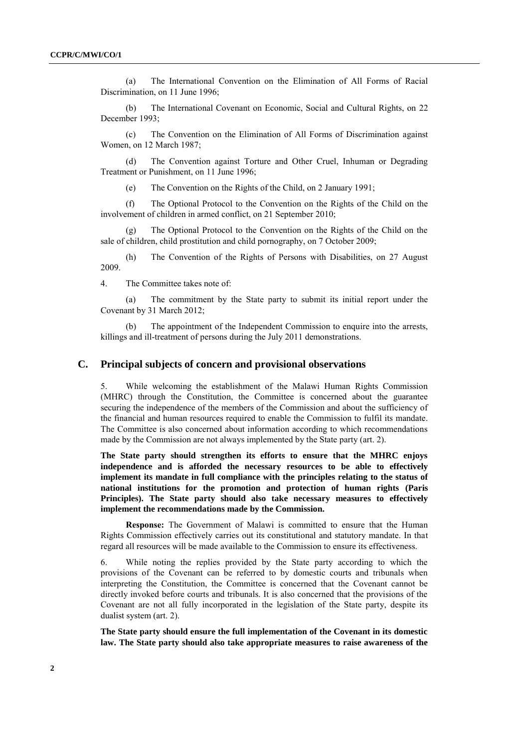(a) The International Convention on the Elimination of All Forms of Racial Discrimination, on 11 June 1996;

(b) The International Covenant on Economic, Social and Cultural Rights, on 22 December 1993;

(c) The Convention on the Elimination of All Forms of Discrimination against Women, on 12 March 1987;

(d) The Convention against Torture and Other Cruel, Inhuman or Degrading Treatment or Punishment, on 11 June 1996;

(e) The Convention on the Rights of the Child, on 2 January 1991;

(f) The Optional Protocol to the Convention on the Rights of the Child on the involvement of children in armed conflict, on 21 September 2010;

(g) The Optional Protocol to the Convention on the Rights of the Child on the sale of children, child prostitution and child pornography, on 7 October 2009;

(h) The Convention of the Rights of Persons with Disabilities, on 27 August 2009.

4. The Committee takes note of:

(a) The commitment by the State party to submit its initial report under the Covenant by 31 March 2012;

(b) The appointment of the Independent Commission to enquire into the arrests, killings and ill-treatment of persons during the July 2011 demonstrations.

## **C. Principal subjects of concern and provisional observations**

5. While welcoming the establishment of the Malawi Human Rights Commission (MHRC) through the Constitution, the Committee is concerned about the guarantee securing the independence of the members of the Commission and about the sufficiency of the financial and human resources required to enable the Commission to fulfil its mandate. The Committee is also concerned about information according to which recommendations made by the Commission are not always implemented by the State party (art. 2).

**The State party should strengthen its efforts to ensure that the MHRC enjoys independence and is afforded the necessary resources to be able to effectively implement its mandate in full compliance with the principles relating to the status of national institutions for the promotion and protection of human rights (Paris Principles). The State party should also take necessary measures to effectively implement the recommendations made by the Commission.** 

**Response:** The Government of Malawi is committed to ensure that the Human Rights Commission effectively carries out its constitutional and statutory mandate. In that regard all resources will be made available to the Commission to ensure its effectiveness.

6. While noting the replies provided by the State party according to which the provisions of the Covenant can be referred to by domestic courts and tribunals when interpreting the Constitution, the Committee is concerned that the Covenant cannot be directly invoked before courts and tribunals. It is also concerned that the provisions of the Covenant are not all fully incorporated in the legislation of the State party, despite its dualist system (art. 2).

**The State party should ensure the full implementation of the Covenant in its domestic law. The State party should also take appropriate measures to raise awareness of the**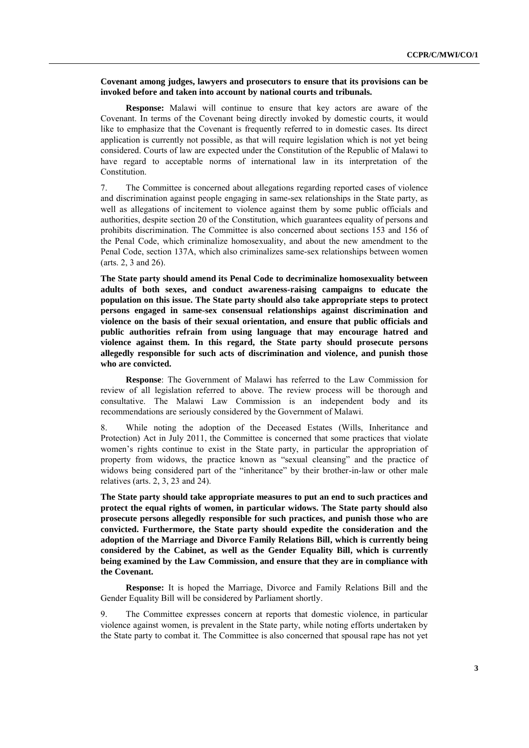#### **Covenant among judges, lawyers and prosecutors to ensure that its provisions can be invoked before and taken into account by national courts and tribunals.**

**Response:** Malawi will continue to ensure that key actors are aware of the Covenant. In terms of the Covenant being directly invoked by domestic courts, it would like to emphasize that the Covenant is frequently referred to in domestic cases. Its direct application is currently not possible, as that will require legislation which is not yet being considered. Courts of law are expected under the Constitution of the Republic of Malawi to have regard to acceptable norms of international law in its interpretation of the Constitution.

7. The Committee is concerned about allegations regarding reported cases of violence and discrimination against people engaging in same-sex relationships in the State party, as well as allegations of incitement to violence against them by some public officials and authorities, despite section 20 of the Constitution, which guarantees equality of persons and prohibits discrimination. The Committee is also concerned about sections 153 and 156 of the Penal Code, which criminalize homosexuality, and about the new amendment to the Penal Code, section 137A, which also criminalizes same-sex relationships between women (arts. 2, 3 and 26).

**The State party should amend its Penal Code to decriminalize homosexuality between adults of both sexes, and conduct awareness-raising campaigns to educate the population on this issue. The State party should also take appropriate steps to protect persons engaged in same-sex consensual relationships against discrimination and violence on the basis of their sexual orientation, and ensure that public officials and public authorities refrain from using language that may encourage hatred and violence against them. In this regard, the State party should prosecute persons allegedly responsible for such acts of discrimination and violence, and punish those who are convicted.** 

**Response**: The Government of Malawi has referred to the Law Commission for review of all legislation referred to above. The review process will be thorough and consultative. The Malawi Law Commission is an independent body and its recommendations are seriously considered by the Government of Malawi.

8. While noting the adoption of the Deceased Estates (Wills, Inheritance and Protection) Act in July 2011, the Committee is concerned that some practices that violate women's rights continue to exist in the State party, in particular the appropriation of property from widows, the practice known as "sexual cleansing" and the practice of widows being considered part of the "inheritance" by their brother-in-law or other male relatives (arts. 2, 3, 23 and 24).

**The State party should take appropriate measures to put an end to such practices and protect the equal rights of women, in particular widows. The State party should also prosecute persons allegedly responsible for such practices, and punish those who are convicted. Furthermore, the State party should expedite the consideration and the adoption of the Marriage and Divorce Family Relations Bill, which is currently being considered by the Cabinet, as well as the Gender Equality Bill, which is currently being examined by the Law Commission, and ensure that they are in compliance with the Covenant.** 

**Response:** It is hoped the Marriage, Divorce and Family Relations Bill and the Gender Equality Bill will be considered by Parliament shortly.

9. The Committee expresses concern at reports that domestic violence, in particular violence against women, is prevalent in the State party, while noting efforts undertaken by the State party to combat it. The Committee is also concerned that spousal rape has not yet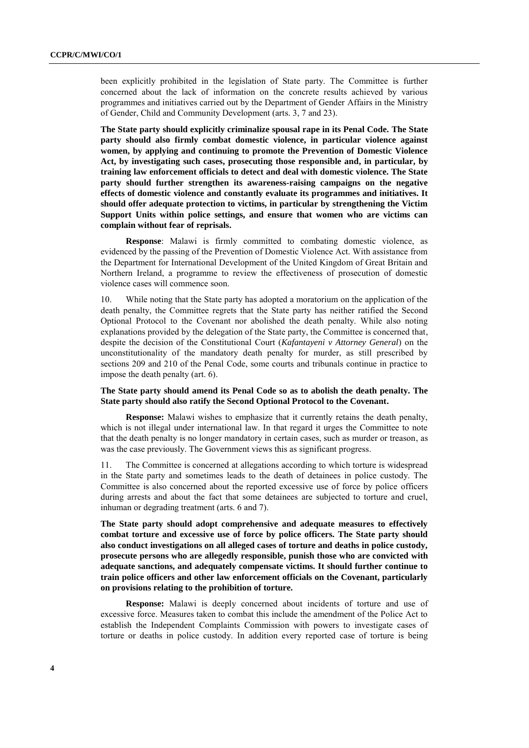been explicitly prohibited in the legislation of State party. The Committee is further concerned about the lack of information on the concrete results achieved by various programmes and initiatives carried out by the Department of Gender Affairs in the Ministry of Gender, Child and Community Development (arts. 3, 7 and 23).

**The State party should explicitly criminalize spousal rape in its Penal Code. The State party should also firmly combat domestic violence, in particular violence against women, by applying and continuing to promote the Prevention of Domestic Violence Act, by investigating such cases, prosecuting those responsible and, in particular, by training law enforcement officials to detect and deal with domestic violence. The State party should further strengthen its awareness-raising campaigns on the negative effects of domestic violence and constantly evaluate its programmes and initiatives. It should offer adequate protection to victims, in particular by strengthening the Victim Support Units within police settings, and ensure that women who are victims can complain without fear of reprisals.** 

**Response**: Malawi is firmly committed to combating domestic violence, as evidenced by the passing of the Prevention of Domestic Violence Act. With assistance from the Department for International Development of the United Kingdom of Great Britain and Northern Ireland, a programme to review the effectiveness of prosecution of domestic violence cases will commence soon.

10. While noting that the State party has adopted a moratorium on the application of the death penalty, the Committee regrets that the State party has neither ratified the Second Optional Protocol to the Covenant nor abolished the death penalty. While also noting explanations provided by the delegation of the State party, the Committee is concerned that, despite the decision of the Constitutional Court (*Kafantayeni v Attorney General*) on the unconstitutionality of the mandatory death penalty for murder, as still prescribed by sections 209 and 210 of the Penal Code, some courts and tribunals continue in practice to impose the death penalty (art. 6).

#### **The State party should amend its Penal Code so as to abolish the death penalty. The State party should also ratify the Second Optional Protocol to the Covenant.**

**Response:** Malawi wishes to emphasize that it currently retains the death penalty, which is not illegal under international law. In that regard it urges the Committee to note that the death penalty is no longer mandatory in certain cases, such as murder or treason, as was the case previously. The Government views this as significant progress.

11. The Committee is concerned at allegations according to which torture is widespread in the State party and sometimes leads to the death of detainees in police custody. The Committee is also concerned about the reported excessive use of force by police officers during arrests and about the fact that some detainees are subjected to torture and cruel, inhuman or degrading treatment (arts. 6 and 7).

**The State party should adopt comprehensive and adequate measures to effectively combat torture and excessive use of force by police officers. The State party should also conduct investigations on all alleged cases of torture and deaths in police custody, prosecute persons who are allegedly responsible, punish those who are convicted with adequate sanctions, and adequately compensate victims. It should further continue to train police officers and other law enforcement officials on the Covenant, particularly on provisions relating to the prohibition of torture.** 

**Response:** Malawi is deeply concerned about incidents of torture and use of excessive force. Measures taken to combat this include the amendment of the Police Act to establish the Independent Complaints Commission with powers to investigate cases of torture or deaths in police custody. In addition every reported case of torture is being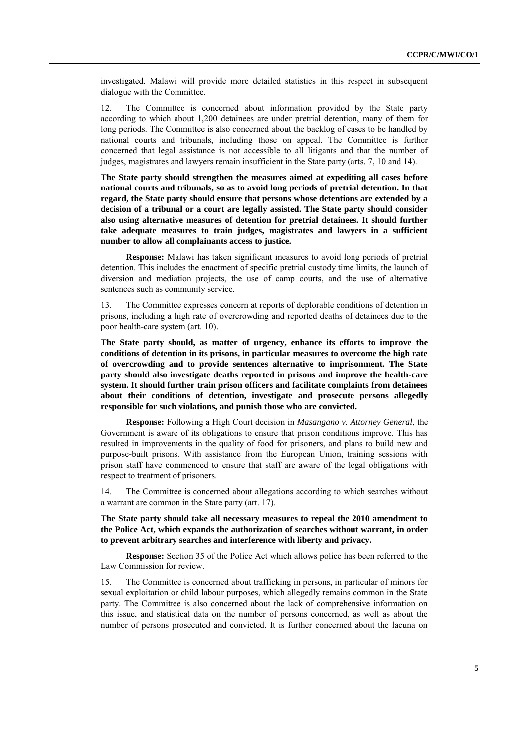investigated. Malawi will provide more detailed statistics in this respect in subsequent dialogue with the Committee.

12. The Committee is concerned about information provided by the State party according to which about 1,200 detainees are under pretrial detention, many of them for long periods. The Committee is also concerned about the backlog of cases to be handled by national courts and tribunals, including those on appeal. The Committee is further concerned that legal assistance is not accessible to all litigants and that the number of judges, magistrates and lawyers remain insufficient in the State party (arts. 7, 10 and 14).

**The State party should strengthen the measures aimed at expediting all cases before national courts and tribunals, so as to avoid long periods of pretrial detention. In that regard, the State party should ensure that persons whose detentions are extended by a decision of a tribunal or a court are legally assisted. The State party should consider also using alternative measures of detention for pretrial detainees. It should further take adequate measures to train judges, magistrates and lawyers in a sufficient number to allow all complainants access to justice.**

**Response:** Malawi has taken significant measures to avoid long periods of pretrial detention. This includes the enactment of specific pretrial custody time limits, the launch of diversion and mediation projects, the use of camp courts, and the use of alternative sentences such as community service.

13. The Committee expresses concern at reports of deplorable conditions of detention in prisons, including a high rate of overcrowding and reported deaths of detainees due to the poor health-care system (art. 10).

**The State party should, as matter of urgency, enhance its efforts to improve the conditions of detention in its prisons, in particular measures to overcome the high rate of overcrowding and to provide sentences alternative to imprisonment. The State party should also investigate deaths reported in prisons and improve the health-care system. It should further train prison officers and facilitate complaints from detainees about their conditions of detention, investigate and prosecute persons allegedly responsible for such violations, and punish those who are convicted.** 

**Response:** Following a High Court decision in *Masangano v. Attorney General*, the Government is aware of its obligations to ensure that prison conditions improve. This has resulted in improvements in the quality of food for prisoners, and plans to build new and purpose-built prisons. With assistance from the European Union, training sessions with prison staff have commenced to ensure that staff are aware of the legal obligations with respect to treatment of prisoners.

14. The Committee is concerned about allegations according to which searches without a warrant are common in the State party (art. 17).

**The State party should take all necessary measures to repeal the 2010 amendment to the Police Act, which expands the authorization of searches without warrant, in order to prevent arbitrary searches and interference with liberty and privacy.** 

**Response:** Section 35 of the Police Act which allows police has been referred to the Law Commission for review.

15. The Committee is concerned about trafficking in persons, in particular of minors for sexual exploitation or child labour purposes, which allegedly remains common in the State party. The Committee is also concerned about the lack of comprehensive information on this issue, and statistical data on the number of persons concerned, as well as about the number of persons prosecuted and convicted. It is further concerned about the lacuna on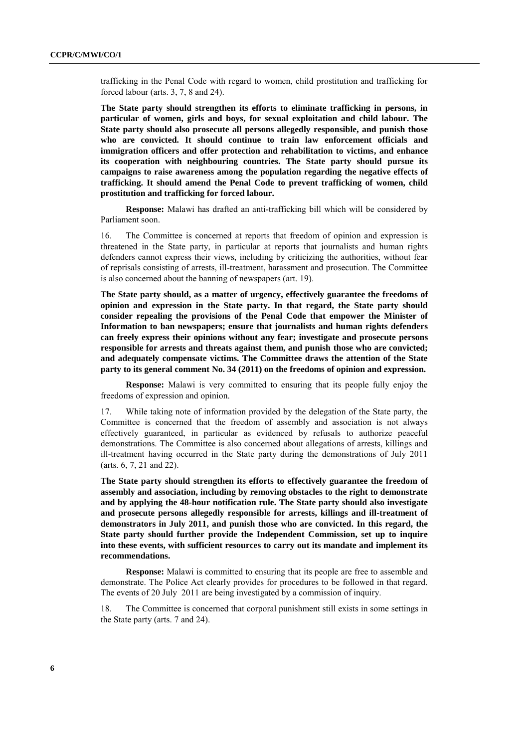trafficking in the Penal Code with regard to women, child prostitution and trafficking for forced labour (arts. 3, 7, 8 and 24).

**The State party should strengthen its efforts to eliminate trafficking in persons, in particular of women, girls and boys, for sexual exploitation and child labour. The State party should also prosecute all persons allegedly responsible, and punish those who are convicted. It should continue to train law enforcement officials and immigration officers and offer protection and rehabilitation to victims, and enhance its cooperation with neighbouring countries. The State party should pursue its campaigns to raise awareness among the population regarding the negative effects of trafficking. It should amend the Penal Code to prevent trafficking of women, child prostitution and trafficking for forced labour.** 

**Response:** Malawi has drafted an anti-trafficking bill which will be considered by Parliament soon.

16. The Committee is concerned at reports that freedom of opinion and expression is threatened in the State party, in particular at reports that journalists and human rights defenders cannot express their views, including by criticizing the authorities, without fear of reprisals consisting of arrests, ill-treatment, harassment and prosecution. The Committee is also concerned about the banning of newspapers (art. 19).

**The State party should, as a matter of urgency, effectively guarantee the freedoms of opinion and expression in the State party. In that regard, the State party should consider repealing the provisions of the Penal Code that empower the Minister of Information to ban newspapers; ensure that journalists and human rights defenders can freely express their opinions without any fear; investigate and prosecute persons responsible for arrests and threats against them, and punish those who are convicted; and adequately compensate victims. The Committee draws the attention of the State party to its general comment No. 34 (2011) on the freedoms of opinion and expression.**

**Response:** Malawi is very committed to ensuring that its people fully enjoy the freedoms of expression and opinion.

17. While taking note of information provided by the delegation of the State party, the Committee is concerned that the freedom of assembly and association is not always effectively guaranteed, in particular as evidenced by refusals to authorize peaceful demonstrations. The Committee is also concerned about allegations of arrests, killings and ill-treatment having occurred in the State party during the demonstrations of July 2011 (arts. 6, 7, 21 and 22).

**The State party should strengthen its efforts to effectively guarantee the freedom of assembly and association, including by removing obstacles to the right to demonstrate and by applying the 48-hour notification rule. The State party should also investigate and prosecute persons allegedly responsible for arrests, killings and ill-treatment of demonstrators in July 2011, and punish those who are convicted. In this regard, the State party should further provide the Independent Commission, set up to inquire into these events, with sufficient resources to carry out its mandate and implement its recommendations.** 

**Response:** Malawi is committed to ensuring that its people are free to assemble and demonstrate. The Police Act clearly provides for procedures to be followed in that regard. The events of 20 July 2011 are being investigated by a commission of inquiry.

18. The Committee is concerned that corporal punishment still exists in some settings in the State party (arts. 7 and 24).